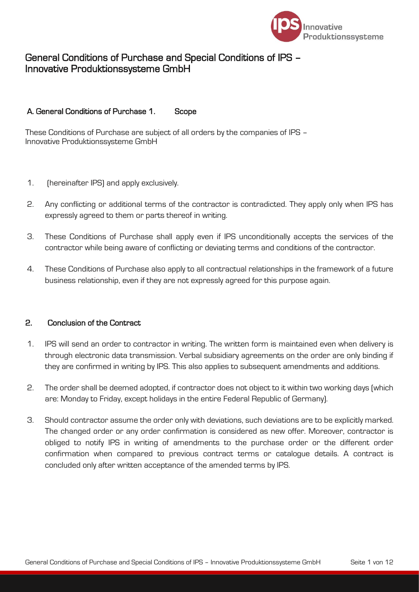

# General Conditions of Purchase and Special Conditions of IPS – Innovative Produktionssysteme GmbH

# A. General Conditions of Purchase 1. Scope

These Conditions of Purchase are subject of all orders by the companies of IPS – Innovative Produktionssysteme GmbH

- 1. (hereinafter IPS) and apply exclusively.
- 2. Any conflicting or additional terms of the contractor is contradicted. They apply only when IPS has expressly agreed to them or parts thereof in writing.
- 3. These Conditions of Purchase shall apply even if IPS unconditionally accepts the services of the contractor while being aware of conflicting or deviating terms and conditions of the contractor.
- 4. These Conditions of Purchase also apply to all contractual relationships in the framework of a future business relationship, even if they are not expressly agreed for this purpose again.

# 2. Conclusion of the Contract

- 1. IPS will send an order to contractor in writing. The written form is maintained even when delivery is through electronic data transmission. Verbal subsidiary agreements on the order are only binding if they are confirmed in writing by IPS. This also applies to subsequent amendments and additions.
- 2. The order shall be deemed adopted, if contractor does not object to it within two working days (which are: Monday to Friday, except holidays in the entire Federal Republic of Germany).
- 3. Should contractor assume the order only with deviations, such deviations are to be explicitly marked. The changed order or any order confirmation is considered as new offer. Moreover, contractor is obliged to notify IPS in writing of amendments to the purchase order or the different order confirmation when compared to previous contract terms or catalogue details. A contract is concluded only after written acceptance of the amended terms by IPS.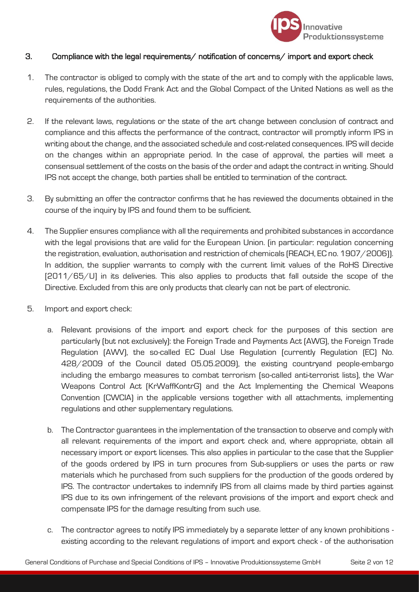

# 3. Compliance with the legal requirements/ notification of concerns/ import and export check

- 1. The contractor is obliged to comply with the state of the art and to comply with the applicable laws, rules, regulations, the Dodd Frank Act and the Global Compact of the United Nations as well as the requirements of the authorities.
- 2. If the relevant laws, regulations or the state of the art change between conclusion of contract and compliance and this affects the performance of the contract, contractor will promptly inform IPS in writing about the change, and the associated schedule and cost-related consequences. IPS will decide on the changes within an appropriate period. In the case of approval, the parties will meet a consensual settlement of the costs on the basis of the order and adapt the contract in writing. Should IPS not accept the change, both parties shall be entitled to termination of the contract.
- 3. By submitting an offer the contractor confirms that he has reviewed the documents obtained in the course of the inquiry by IPS and found them to be sufficient.
- 4. The Supplier ensures compliance with all the requirements and prohibited substances in accordance with the legal provisions that are valid for the European Union. (in particular: regulation concerning the registration, evaluation, authorisation and restriction of chemicals (REACH, EC no. 1907/2006)). In addition, the supplier warrants to comply with the current limit values of the RoHS Directive [2011/65/U] in its deliveries. This also applies to products that fall outside the scope of the Directive. Excluded from this are only products that clearly can not be part of electronic.
- 5. Import and export check:
	- a. Relevant provisions of the import and export check for the purposes of this section are particularly (but not exclusively): the Foreign Trade and Payments Act (AWG), the Foreign Trade Regulation (AWV), the so-called EC Dual Use Regulation (currently Regulation (EC) No. 428/2009 of the Council dated 05.05.2009), the existing countryand people-embargo including the embargo measures to combat terrorism (so-called anti-terrorist lists), the War Weapons Control Act (KrWaffKontrG) and the Act Implementing the Chemical Weapons Convention (CWCIA) in the applicable versions together with all attachments, implementing regulations and other supplementary regulations.
	- b. The Contractor guarantees in the implementation of the transaction to observe and comply with all relevant requirements of the import and export check and, where appropriate, obtain all necessary import or export licenses. This also applies in particular to the case that the Supplier of the goods ordered by IPS in turn procures from Sub-suppliers or uses the parts or raw materials which he purchased from such suppliers for the production of the goods ordered by IPS. The contractor undertakes to indemnify IPS from all claims made by third parties against IPS due to its own infringement of the relevant provisions of the import and export check and compensate IPS for the damage resulting from such use.
	- c. The contractor agrees to notify IPS immediately by a separate letter of any known prohibitions existing according to the relevant regulations of import and export check - of the authorisation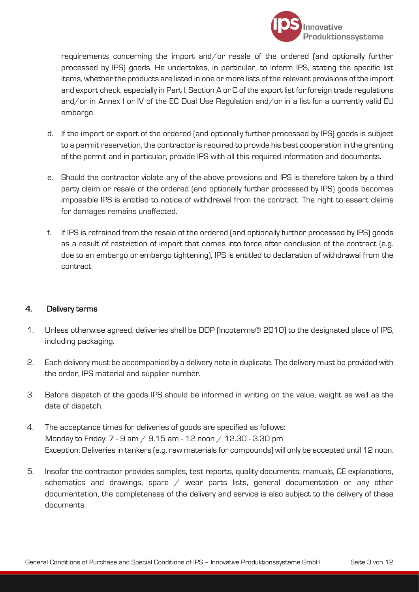

requirements concerning the import and/or resale of the ordered (and optionally further processed by IPS) goods. He undertakes, in particular, to inform IPS, stating the specific list items, whether the products are listed in one or more lists of the relevant provisions of the import and export check, especially in Part I, Section A or C of the export list for foreign trade regulations and/or in Annex I or IV of the EC Dual Use Regulation and/or in a list for a currently valid EU embargo.

- d. If the import or export of the ordered (and optionally further processed by IPS) goods is subject to a permit reservation, the contractor is required to provide his best cooperation in the granting of the permit and in particular, provide IPS with all this required information and documents.
- e. Should the contractor violate any of the above provisions and IPS is therefore taken by a third party claim or resale of the ordered (and optionally further processed by IPS) goods becomes impossible IPS is entitled to notice of withdrawal from the contract. The right to assert claims for damages remains unaffected.
- f. If IPS is refrained from the resale of the ordered (and optionally further processed by IPS) goods as a result of restriction of import that comes into force after conclusion of the contract (e.g. due to an embargo or embargo tightening), IPS is entitled to declaration of withdrawal from the contract.

#### 4. Delivery terms

- 1. Unless otherwise agreed, deliveries shall be DDP (Incoterms® 2010) to the designated place of IPS, including packaging.
- 2. Each delivery must be accompanied by a delivery note in duplicate. The delivery must be provided with the order, IPS material and supplier number.
- 3. Before dispatch of the goods IPS should be informed in writing on the value, weight as well as the date of dispatch.
- 4. The acceptance times for deliveries of goods are specified as follows: Monday to Friday: 7 - 9 am / 9.15 am - 12 noon / 12.30 - 3.30 pm Exception: Deliveries in tankers (e.g. raw materials for compounds) will only be accepted until 12 noon.
- 5. Insofar the contractor provides samples, test reports, quality documents, manuals, CE explanations, schematics and drawings, spare / wear parts lists, general documentation or any other documentation, the completeness of the delivery and service is also subject to the delivery of these documents.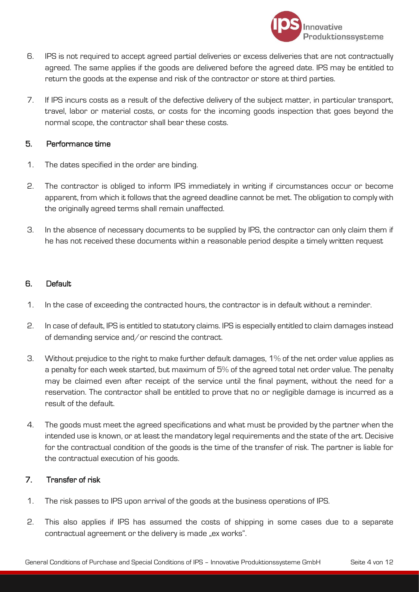

- 6. IPS is not required to accept agreed partial deliveries or excess deliveries that are not contractually agreed. The same applies if the goods are delivered before the agreed date. IPS may be entitled to return the goods at the expense and risk of the contractor or store at third parties.
- 7. If IPS incurs costs as a result of the defective delivery of the subject matter, in particular transport, travel, labor or material costs, or costs for the incoming goods inspection that goes beyond the normal scope, the contractor shall bear these costs.

### 5. Performance time

- 1. The dates specified in the order are binding.
- 2. The contractor is obliged to inform IPS immediately in writing if circumstances occur or become apparent, from which it follows that the agreed deadline cannot be met. The obligation to comply with the originally agreed terms shall remain unaffected.
- 3. In the absence of necessary documents to be supplied by IPS, the contractor can only claim them if he has not received these documents within a reasonable period despite a timely written request

### 6. Default

- 1. In the case of exceeding the contracted hours, the contractor is in default without a reminder.
- 2. In case of default, IPS is entitled to statutory claims. IPS is especially entitled to claim damages instead of demanding service and/or rescind the contract.
- 3. Without prejudice to the right to make further default damages, 1% of the net order value applies as a penalty for each week started, but maximum of 5% of the agreed total net order value. The penalty may be claimed even after receipt of the service until the final payment, without the need for a reservation. The contractor shall be entitled to prove that no or negligible damage is incurred as a result of the default.
- 4. The goods must meet the agreed specifications and what must be provided by the partner when the intended use is known, or at least the mandatory legal requirements and the state of the art. Decisive for the contractual condition of the goods is the time of the transfer of risk. The partner is liable for the contractual execution of his goods.

# 7. Transfer of risk

- 1. The risk passes to IPS upon arrival of the goods at the business operations of IPS.
- 2. This also applies if IPS has assumed the costs of shipping in some cases due to a separate contractual agreement or the delivery is made "ex works".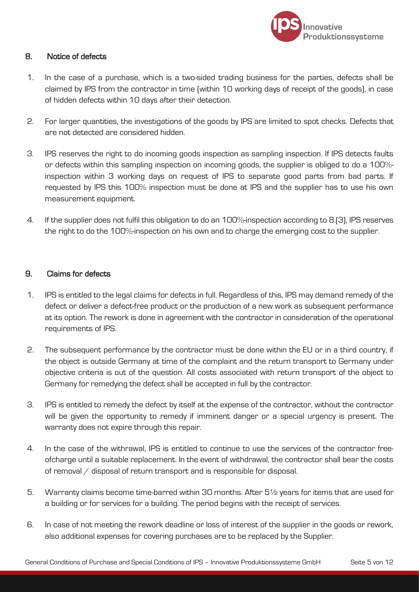

# 8. Notice of defects

- 1. In the case of a purchase, which is a two-sided trading business for the parties, defects shall be claimed by IPS from the contractor in time (within 10 working days of receipt of the goods), in case of hidden defects within 10 days after their detection.
- 2. For larger quantities, the investigations of the goods by IPS are limited to spot checks. Defects that are not detected are considered hidden.
- 3. IPS reserves the right to do incoming goods inspection as sampling inspection. If IPS detects faults or defects within this sampling inspection on incoming goods, the supplier is obliged to do a 100% inspection within 3 working days on request of IPS to separate good parts from bad parts. If requested by IPS this 100% inspection must be done at IPS and the supplier has to use his own measurement equipment.
- 4. If the supplier does not fulfil this obligation to do an 100%-inspection according to 8.(3), IPS reserves the right to do the 100%-inspection on his own and to charge the emerging cost to the supplier.

### 9. Claims for defects

- 1. IPS is entitled to the legal claims for defects in full. Regardless of this, IPS may demand remedy of the defect or deliver a defect-free product or the production of a new work as subsequent performance at its option. The rework is done in agreement with the contractor in consideration of the operational requirements of IPS.
- 2. The subsequent performance by the contractor must be done within the EU or in a third country, if the object is outside Germany at time of the complaint and the return transport to Germany under objective criteria is out of the question. All costs associated with return transport of the object to Germany for remedying the defect shall be accepted in full by the contractor.
- 3. IPS is entitled to remedy the defect by itself at the expense of the contractor, without the contractor will be given the opportunity to remedy if imminent danger or a special urgency is present. The warranty does not expire through this repair.
- 4. In the case of the withrawal, IPS is entitled to continue to use the services of the contractor freeofcharge until a suitable replacement. In the event of withdrawal, the contractor shall bear the costs of removal / disposal of return transport and is responsible for disposal.
- 5. Warranty claims become time-barred within 30 months. After 5½ years for items that are used for a building or for services for a building. The period begins with the receipt of services.
- 6. In case of not meeting the rework deadline or loss of interest of the supplier in the goods or rework, also additional expenses for covering purchases are to be replaced by the Supplier.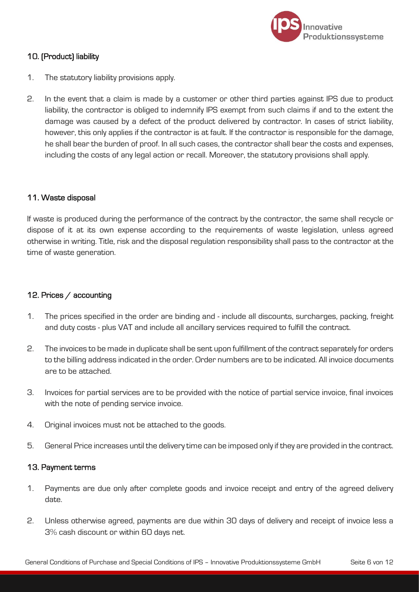

# 10. (Product) liability

- 1. The statutory liability provisions apply.
- 2. In the event that a claim is made by a customer or other third parties against IPS due to product liability, the contractor is obliged to indemnify IPS exempt from such claims if and to the extent the damage was caused by a defect of the product delivered by contractor. In cases of strict liability, however, this only applies if the contractor is at fault. If the contractor is responsible for the damage, he shall bear the burden of proof. In all such cases, the contractor shall bear the costs and expenses, including the costs of any legal action or recall. Moreover, the statutory provisions shall apply.

### 11. Waste disposal

If waste is produced during the performance of the contract by the contractor, the same shall recycle or dispose of it at its own expense according to the requirements of waste legislation, unless agreed otherwise in writing. Title, risk and the disposal regulation responsibility shall pass to the contractor at the time of waste generation.

### 12. Prices / accounting

- 1. The prices specified in the order are binding and include all discounts, surcharges, packing, freight and duty costs - plus VAT and include all ancillary services required to fulfill the contract.
- 2. The invoices to be made in duplicate shall be sent upon fulfillment of the contract separately for orders to the billing address indicated in the order. Order numbers are to be indicated. All invoice documents are to be attached.
- 3. Invoices for partial services are to be provided with the notice of partial service invoice, final invoices with the note of pending service invoice.
- 4. Original invoices must not be attached to the goods.
- 5. General Price increases until the delivery time can be imposed only if they are provided in the contract.

#### 13. Payment terms

- 1. Payments are due only after complete goods and invoice receipt and entry of the agreed delivery date.
- 2. Unless otherwise agreed, payments are due within 30 days of delivery and receipt of invoice less a 3% cash discount or within 60 days net.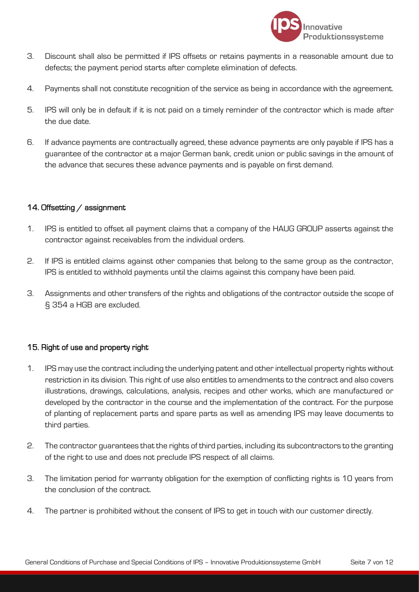

- 3. Discount shall also be permitted if IPS offsets or retains payments in a reasonable amount due to defects; the payment period starts after complete elimination of defects.
- 4. Payments shall not constitute recognition of the service as being in accordance with the agreement.
- 5. IPS will only be in default if it is not paid on a timely reminder of the contractor which is made after the due date.
- 6. If advance payments are contractually agreed, these advance payments are only payable if IPS has a guarantee of the contractor at a major German bank, credit union or public savings in the amount of the advance that secures these advance payments and is payable on first demand.

# 14. Offsetting / assignment

- 1. IPS is entitled to offset all payment claims that a company of the HAUG GROUP asserts against the contractor against receivables from the individual orders.
- 2. If IPS is entitled claims against other companies that belong to the same group as the contractor, IPS is entitled to withhold payments until the claims against this company have been paid.
- 3. Assignments and other transfers of the rights and obligations of the contractor outside the scope of § 354 a HGB are excluded.

# 15. Right of use and property right

- 1. IPS may use the contract including the underlying patent and other intellectual property rights without restriction in its division. This right of use also entitles to amendments to the contract and also covers illustrations, drawings, calculations, analysis, recipes and other works, which are manufactured or developed by the contractor in the course and the implementation of the contract. For the purpose of planting of replacement parts and spare parts as well as amending IPS may leave documents to third parties.
- 2. The contractor guarantees that the rights of third parties, including its subcontractors to the granting of the right to use and does not preclude IPS respect of all claims.
- 3. The limitation period for warranty obligation for the exemption of conflicting rights is 10 years from the conclusion of the contract.
- 4. The partner is prohibited without the consent of IPS to get in touch with our customer directly.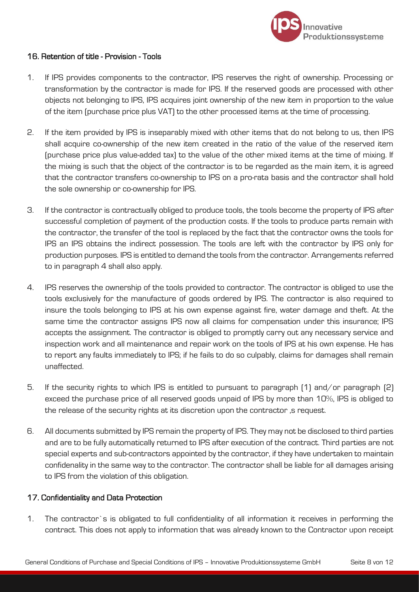

### 16. Retention of title - Provision - Tools

- 1. If IPS provides components to the contractor, IPS reserves the right of ownership. Processing or transformation by the contractor is made for IPS. If the reserved goods are processed with other objects not belonging to IPS, IPS acquires joint ownership of the new item in proportion to the value of the item (purchase price plus VAT) to the other processed items at the time of processing.
- 2. If the item provided by IPS is inseparably mixed with other items that do not belong to us, then IPS shall acquire co-ownership of the new item created in the ratio of the value of the reserved item (purchase price plus value-added tax) to the value of the other mixed items at the time of mixing. If the mixing is such that the object of the contractor is to be regarded as the main item, it is agreed that the contractor transfers co-ownership to IPS on a pro-rata basis and the contractor shall hold the sole ownership or co-ownership for IPS.
- 3. If the contractor is contractually obliged to produce tools, the tools become the property of IPS after successful completion of payment of the production costs. If the tools to produce parts remain with the contractor, the transfer of the tool is replaced by the fact that the contractor owns the tools for IPS an IPS obtains the indirect possession. The tools are left with the contractor by IPS only for production purposes. IPS is entitled to demand the tools from the contractor. Arrangements referred to in paragraph 4 shall also apply.
- 4. IPS reserves the ownership of the tools provided to contractor. The contractor is obliged to use the tools exclusively for the manufacture of goods ordered by IPS. The contractor is also required to insure the tools belonging to IPS at his own expense against fire, water damage and theft. At the same time the contractor assigns IPS now all claims for compensation under this insurance; IPS accepts the assignment. The contractor is obliged to promptly carry out any necessary service and inspection work and all maintenance and repair work on the tools of IPS at his own expense. He has to report any faults immediately to IPS; if he fails to do so culpably, claims for damages shall remain unaffected.
- 5. If the security rights to which IPS is entitled to pursuant to paragraph (1) and/or paragraph (2) exceed the purchase price of all reserved goods unpaid of IPS by more than 10%, IPS is obliged to the release of the security rights at its discretion upon the contractor, s request.
- 6. All documents submitted by IPS remain the property of IPS. They may not be disclosed to third parties and are to be fully automatically returned to IPS after execution of the contract. Third parties are not special experts and sub-contractors appointed by the contractor, if they have undertaken to maintain confidenality in the same way to the contractor. The contractor shall be liable for all damages arising to IPS from the violation of this obligation.

#### 17. Confidentiality and Data Protection

1. The contractor`s is obligated to full confidentiality of all information it receives in performing the contract. This does not apply to information that was already known to the Contractor upon receipt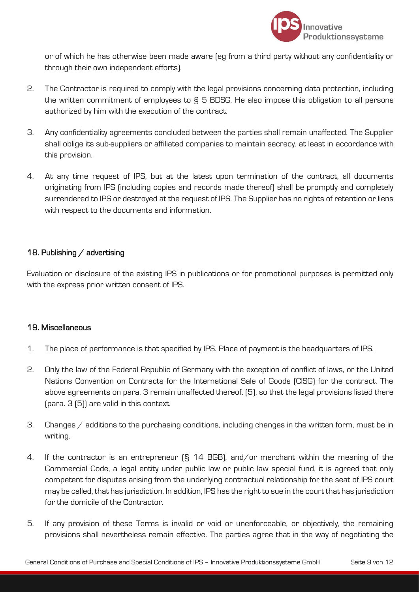

or of which he has otherwise been made aware (eg from a third party without any confidentiality or through their own independent efforts).

- 2. The Contractor is required to comply with the legal provisions concerning data protection, including the written commitment of employees to § 5 BDSG. He also impose this obligation to all persons authorized by him with the execution of the contract.
- 3. Any confidentiality agreements concluded between the parties shall remain unaffected. The Supplier shall oblige its sub-suppliers or affiliated companies to maintain secrecy, at least in accordance with this provision.
- 4. At any time request of IPS, but at the latest upon termination of the contract, all documents originating from IPS (including copies and records made thereof) shall be promptly and completely surrendered to IPS or destroyed at the request of IPS. The Supplier has no rights of retention or liens with respect to the documents and information.

# 18. Publishing / advertising

Evaluation or disclosure of the existing IPS in publications or for promotional purposes is permitted only with the express prior written consent of IPS.

#### 19. Miscellaneous

- 1. The place of performance is that specified by IPS. Place of payment is the headquarters of IPS.
- 2. Only the law of the Federal Republic of Germany with the exception of conflict of laws, or the United Nations Convention on Contracts for the International Sale of Goods (CISG) for the contract. The above agreements on para. 3 remain unaffected thereof. (5), so that the legal provisions listed there (para. 3 (5)) are valid in this context.
- 3. Changes / additions to the purchasing conditions, including changes in the written form, must be in writing.
- 4. If the contractor is an entrepreneur (§ 14 BGB), and/or merchant within the meaning of the Commercial Code, a legal entity under public law or public law special fund, it is agreed that only competent for disputes arising from the underlying contractual relationship for the seat of IPS court may be called, that has jurisdiction. In addition, IPS has the right to sue in the court that has jurisdiction for the domicile of the Contractor.
- 5. If any provision of these Terms is invalid or void or unenforceable, or objectively, the remaining provisions shall nevertheless remain effective. The parties agree that in the way of negotiating the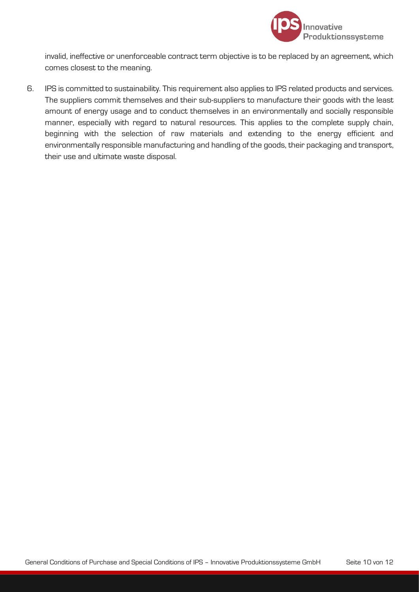

invalid, ineffective or unenforceable contract term objective is to be replaced by an agreement, which comes closest to the meaning.

6. IPS is committed to sustainability. This requirement also applies to IPS related products and services. The suppliers commit themselves and their sub-suppliers to manufacture their goods with the least amount of energy usage and to conduct themselves in an environmentally and socially responsible manner, especially with regard to natural resources. This applies to the complete supply chain, beginning with the selection of raw materials and extending to the energy efficient and environmentally responsible manufacturing and handling of the goods, their packaging and transport, their use and ultimate waste disposal.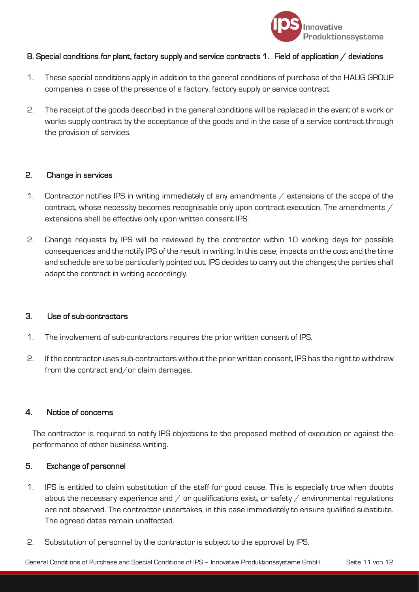

# B. Special conditions for plant, factory supply and service contracts 1. Field of application / deviations

- 1. These special conditions apply in addition to the general conditions of purchase of the HAUG GROUP companies in case of the presence of a factory, factory supply or service contract.
- 2. The receipt of the goods described in the general conditions will be replaced in the event of a work or works supply contract by the acceptance of the goods and in the case of a service contract through the provision of services.

#### 2. Change in services

- 1. Contractor notifies IPS in writing immediately of any amendments / extensions of the scope of the contract, whose necessity becomes recognisable only upon contract execution. The amendments / extensions shall be effective only upon written consent IPS.
- 2. Change requests by IPS will be reviewed by the contractor within 10 working days for possible consequences and the notify IPS of the result in writing. In this case, impacts on the cost and the time and schedule are to be particularly pointed out. IPS decides to carry out the changes; the parties shall adapt the contract in writing accordingly.

#### 3. Use of sub-contractors

- 1. The involvement of sub-contractors requires the prior written consent of IPS.
- 2. If the contractor uses sub-contractors without the prior written consent, IPS has the right to withdraw from the contract and/or claim damages.

#### 4. Notice of concerns

The contractor is required to notify IPS objections to the proposed method of execution or against the performance of other business writing.

#### 5. Exchange of personnel

- 1. IPS is entitled to claim substitution of the staff for good cause. This is especially true when doubts about the necessary experience and  $/$  or qualifications exist, or safety  $/$  environmental regulations are not observed. The contractor undertakes, in this case immediately to ensure qualified substitute. The agreed dates remain unaffected.
- 2. Substitution of personnel by the contractor is subject to the approval by IPS.